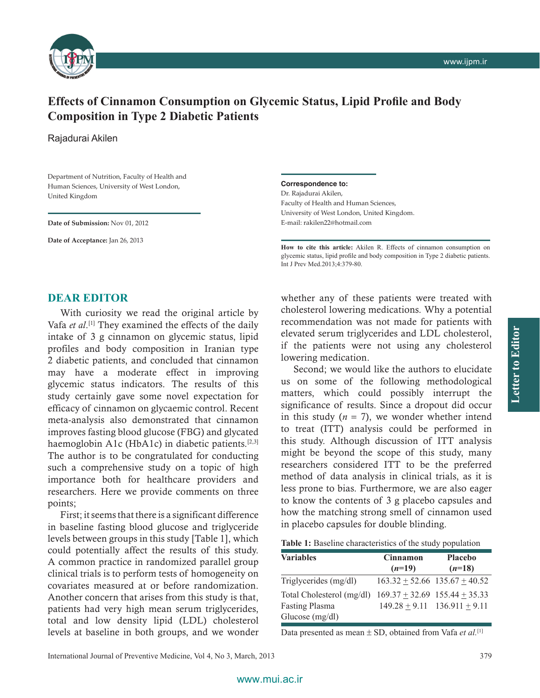

## **Effects of Cinnamon Consumption on Glycemic Status, Lipid Profile and Body Composition in Type 2 Diabetic Patients**

Rajadurai Akilen

Department of Nutrition, Faculty of Health and Human Sciences, University of West London, United Kingdom

**Date of Submission:** Nov 01, 2012

**Date of Acceptance:** Jan 26, 2013

## **Correspondence to:**

Dr. Rajadurai Akilen, Faculty of Health and Human Sciences, University of West London, United Kingdom. E‑mail: rakilen22@hotmail.com

**How to cite this article:** Akilen R. Effects of cinnamon consumption on glycemic status, lipid profile and body composition in Type 2 diabetic patients. Int J Prev Med.2013;4:379-80.

## **DEAR EDITOR**

With curiosity we read the original article by Vafa *et al*. [1] They examined the effects of the daily intake of 3 g cinnamon on glycemic status, lipid profiles and body composition in Iranian type 2 diabetic patients, and concluded that cinnamon may have a moderate effect in improving glycemic status indicators. The results of this study certainly gave some novel expectation for efficacy of cinnamon on glycaemic control. Recent meta‑analysis also demonstrated that cinnamon improves fasting blood glucose (FBG) and glycated haemoglobin A1c (HbA1c) in diabetic patients.<sup>[2,3]</sup> The author is to be congratulated for conducting such a comprehensive study on a topic of high importance both for healthcare providers and researchers. Here we provide comments on three points;

First; it seems that there is a significant difference in baseline fasting blood glucose and triglyceride levels between groups in this study [Table 1], which could potentially affect the results of this study. A common practice in randomized parallel group clinical trials is to perform tests of homogeneity on covariates measured at or before randomization. Another concern that arises from this study is that, patients had very high mean serum triglycerides, total and low density lipid (LDL) cholesterol levels at baseline in both groups, and we wonder whether any of these patients were treated with cholesterol lowering medications. Why a potential recommendation was not made for patients with elevated serum triglycerides and LDL cholesterol, if the patients were not using any cholesterol lowering medication.

Second; we would like the authors to elucidate us on some of the following methodological matters, which could possibly interrupt the significance of results. Since a dropout did occur in this study  $(n = 7)$ , we wonder whether intend to treat (ITT) analysis could be performed in this study. Although discussion of ITT analysis might be beyond the scope of this study, many researchers considered ITT to be the preferred method of data analysis in clinical trials, as it is less prone to bias. Furthermore, we are also eager to know the contents of 3 g placebo capsules and how the matching strong smell of cinnamon used in placebo capsules for double blinding.

| Table 1: Baseline characteristics of the study population |  |
|-----------------------------------------------------------|--|
|-----------------------------------------------------------|--|

| <b>Variables</b>                                                        | <b>Cinnamon</b><br>$(n=19)$ | <b>Placebo</b><br>$(n=18)$                                                |
|-------------------------------------------------------------------------|-----------------------------|---------------------------------------------------------------------------|
| Triglycerides (mg/dl)                                                   |                             | $163.32 \pm 52.66$ 135.67 $\pm$ 40.52                                     |
| Total Cholesterol (mg/dl)<br><b>Fasting Plasma</b><br>Glucose $(mg/dl)$ |                             | $169.37 \pm 32.69$ 155.44 $\pm$ 35.33<br>$149.28 + 9.11$ $136.911 + 9.11$ |

Data presented as mean ± SD, obtained from Vafa *et al.*[1]